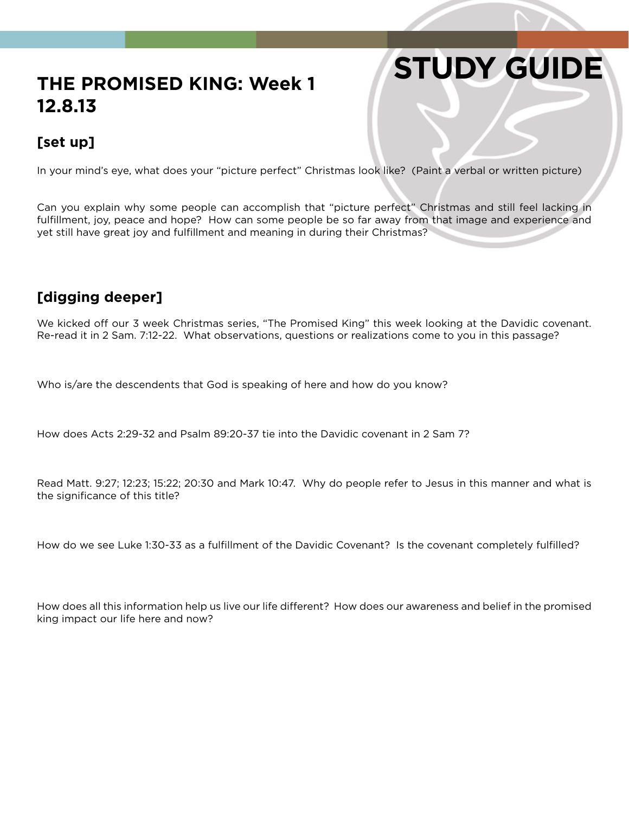# **STUDY GUIDE**

## **THE PROMISED KING: Week 1 12.8.13**

### **[set up]**

In your mind's eye, what does your "picture perfect" Christmas look like? (Paint a verbal or written picture)

Can you explain why some people can accomplish that "picture perfect" Christmas and still feel lacking in fulfillment, joy, peace and hope? How can some people be so far away from that image and experience and yet still have great joy and fulfillment and meaning in during their Christmas?

#### **[digging deeper]**

We kicked off our 3 week Christmas series, "The Promised King" this week looking at the Davidic covenant. Re-read it in 2 Sam. 7:12-22. What observations, questions or realizations come to you in this passage?

Who is/are the descendents that God is speaking of here and how do you know?

How does Acts 2:29-32 and Psalm 89:20-37 tie into the Davidic covenant in 2 Sam 7?

Read Matt. 9:27; 12:23; 15:22; 20:30 and Mark 10:47. Why do people refer to Jesus in this manner and what is the significance of this title?

How do we see Luke 1:30-33 as a fulfillment of the Davidic Covenant? Is the covenant completely fulfilled?

How does all this information help us live our life different? How does our awareness and belief in the promised king impact our life here and now?